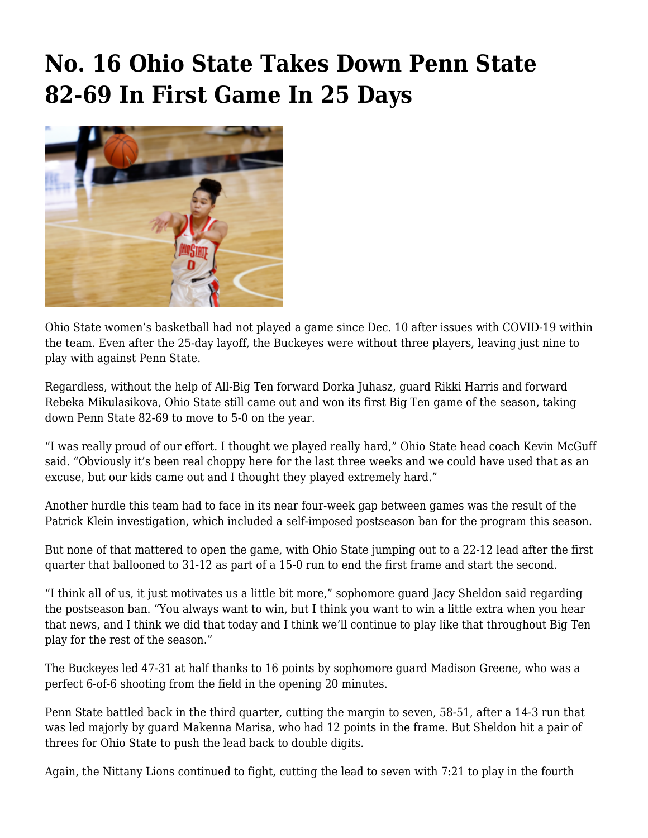## **[No. 16 Ohio State Takes Down Penn State](https://www.buckeyesports.com/no-16-ohio-state-takes-down-penn-state-82-69-in-first-game-in-25-days/) [82-69 In First Game In 25 Days](https://www.buckeyesports.com/no-16-ohio-state-takes-down-penn-state-82-69-in-first-game-in-25-days/)**



Ohio State women's basketball had not played a game since Dec. 10 after issues with COVID-19 within the team. Even after the 25-day layoff, the Buckeyes were without three players, leaving just nine to play with against Penn State.

Regardless, without the help of All-Big Ten forward Dorka Juhasz, guard Rikki Harris and forward Rebeka Mikulasikova, Ohio State still came out and won its first Big Ten game of the season, taking down Penn State 82-69 to move to 5-0 on the year.

"I was really proud of our effort. I thought we played really hard," Ohio State head coach Kevin McGuff said. "Obviously it's been real choppy here for the last three weeks and we could have used that as an excuse, but our kids came out and I thought they played extremely hard."

Another hurdle this team had to face in its near four-week gap between games was [the result of the](https://www.buckeyesports.com/ohio-state-womens-basketball-receives-postseason-ban-following-results-of-patrick-klein-investigation/) [Patrick Klein investigation,](https://www.buckeyesports.com/ohio-state-womens-basketball-receives-postseason-ban-following-results-of-patrick-klein-investigation/) which included a self-imposed postseason ban for the program this season.

But none of that mattered to open the game, with Ohio State jumping out to a 22-12 lead after the first quarter that ballooned to 31-12 as part of a 15-0 run to end the first frame and start the second.

"I think all of us, it just motivates us a little bit more," sophomore guard Jacy Sheldon said regarding the postseason ban. "You always want to win, but I think you want to win a little extra when you hear that news, and I think we did that today and I think we'll continue to play like that throughout Big Ten play for the rest of the season."

The Buckeyes led 47-31 at half thanks to 16 points by sophomore guard Madison Greene, who was a perfect 6-of-6 shooting from the field in the opening 20 minutes.

Penn State battled back in the third quarter, cutting the margin to seven, 58-51, after a 14-3 run that was led majorly by guard Makenna Marisa, who had 12 points in the frame. But Sheldon hit a pair of threes for Ohio State to push the lead back to double digits.

Again, the Nittany Lions continued to fight, cutting the lead to seven with 7:21 to play in the fourth